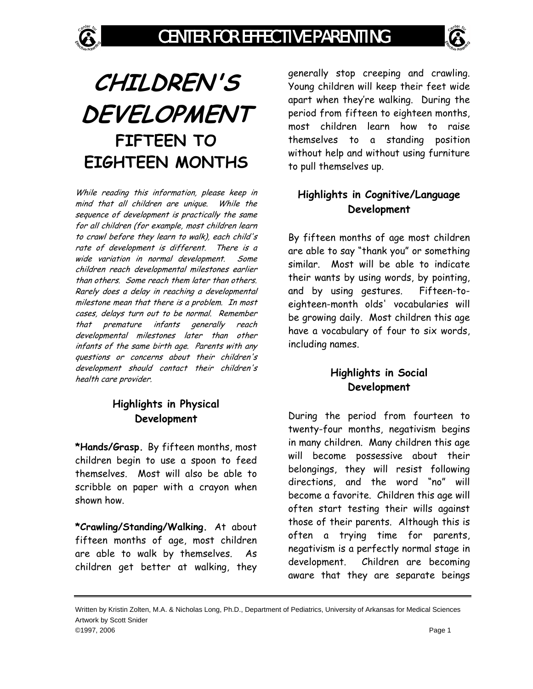

While reading this information, please keep in mind that all children are unique. While the sequence of development is practically the same for all children (for example, most children learn to crawl before they learn to walk), each child's rate of development is different. There is a wide variation in normal development. Some children reach developmental milestones earlier than others. Some reach them later than others. Rarely does a delay in reaching a developmental milestone mean that there is a problem. In most cases, delays turn out to be normal. Remember that premature infants generally reach developmental milestones later than other infants of the same birth age. Parents with any questions or concerns about their children's development should contact their children's health care provider.

## **Highlights in Physical Development**

**\*Hands/Grasp.** By fifteen months, most children begin to use a spoon to feed themselves. Most will also be able to scribble on paper with a crayon when shown how.

**\*Crawling/Standing/Walking.** At about fifteen months of age, most children are able to walk by themselves. As children get better at walking, they

generally stop creeping and crawling. Young children will keep their feet wide apart when they're walking. During the period from fifteen to eighteen months, most children learn how to raise themselves to a standing position without help and without using furniture to pull themselves up.

## **Highlights in Cognitive/Language Development**

By fifteen months of age most children are able to say "thank you" or something similar. Most will be able to indicate their wants by using words, by pointing, and by using gestures. Fifteen-toeighteen-month olds' vocabularies will be growing daily. Most children this age have a vocabulary of four to six words, including names.

## **Highlights in Social Development**

During the period from fourteen to twenty-four months, negativism begins in many children. Many children this age will become possessive about their belongings, they will resist following directions, and the word "no" will become a favorite. Children this age will often start testing their wills against those of their parents. Although this is often a trying time for parents, negativism is a perfectly normal stage in development. Children are becoming aware that they are separate beings

Written by Kristin Zolten, M.A. & Nicholas Long, Ph.D., Department of Pediatrics, University of Arkansas for Medical Sciences Artwork by Scott Snider ©1997, 2006 Page 1